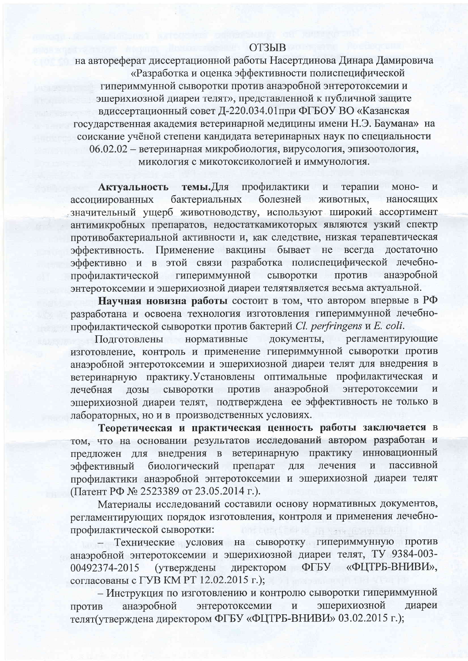## **ОТЗЫВ**

на автореферат диссертационной работы Насертдинова Динара Дамировича «Разработка и оценка эффективности полиспецифической гипериммунной сыворотки против анаэробной энтеротоксемии и эшерихиозной диареи телят», представленной к публичной защите вдиссертационный совет Д-220.034.01 при ФГБОУ ВО «Казанская государственная академия ветеринарной медицины имени Н.Э. Баумана» на соискание учёной степени кандидата ветеринарных наук по специальности 06.02.02 - ветеринарная микробиология, вирусология, эпизоотология, микология с микотоксикологией и иммунология.

темы.Для профилактики Актуальность терапии  $\overline{\mathbf{M}}$ моно- $\overline{M}$ бактериальных болезней ассоциированных животных, наносящих значительный ущерб животноводству, используют широкий ассортимент антимикробных препаратов, недостаткамикоторых являются узкий спектр противобактериальной активности и, как следствие, низкая терапевтическая Применение вакцины бывает не всегда эффективность. достаточно эффективно и в этой связи разработка полиспецифической лечебнопрофилактической гипериммунной сыворотки против анаэробной энтеротоксемии и эшерихиозной диареи телятявляется весьма актуальной.

Научная новизна работы состоит в том, что автором впервые в РФ разработана и освоена технология изготовления гипериммунной лечебнопрофилактической сыворотки против бактерий Cl. perfringens и E. coli.

документы, регламентирующие Подготовлены нормативные изготовление, контроль и применение гипериммунной сыворотки против анаэробной энтеротоксемии и эшерихиозной диареи телят для внедрения в ветеринарную практику. Установлены оптимальные профилактическая и против анаэробной энтеротоксемии сыворотки лечебная дозы  $\mathbf{M}$ эшерихиозной диареи телят, подтверждена ее эффективность не только в лабораторных, но и в производственных условиях.

Теоретическая и практическая ценность работы заключается в том, что на основании результатов исследований автором разработан и внедрения в ветеринарную практику инновационный предложен для препарат биологический лечения пассивной эффективный для  $\mathbf{M}$ профилактики анаэробной энтеротоксемии и эшерихиозной диареи телят (Патент РФ № 2523389 от 23.05.2014 г.).

Материалы исследований составили основу нормативных документов, регламентирующих порядок изготовления, контроля и применения лечебнопрофилактической сыворотки:

- Технические условия на сыворотку гипериммунную против анаэробной энтеротоксемии и эшерихиозной диареи телят, ТУ 9384-003-ФГБУ «ФЦТРБ-ВНИВИ», 00492374-2015 (утверждены директором согласованы с ГУВ КМ РТ 12.02.2015 г.);

- Инструкция по изготовлению и контролю сыворотки гипериммунной эшерихиозной анаэробной энтеротоксемии диареи  $\, {\bf N}$ против телят(утверждена директором ФГБУ «ФЦТРБ-ВНИВИ» 03.02.2015 г.);